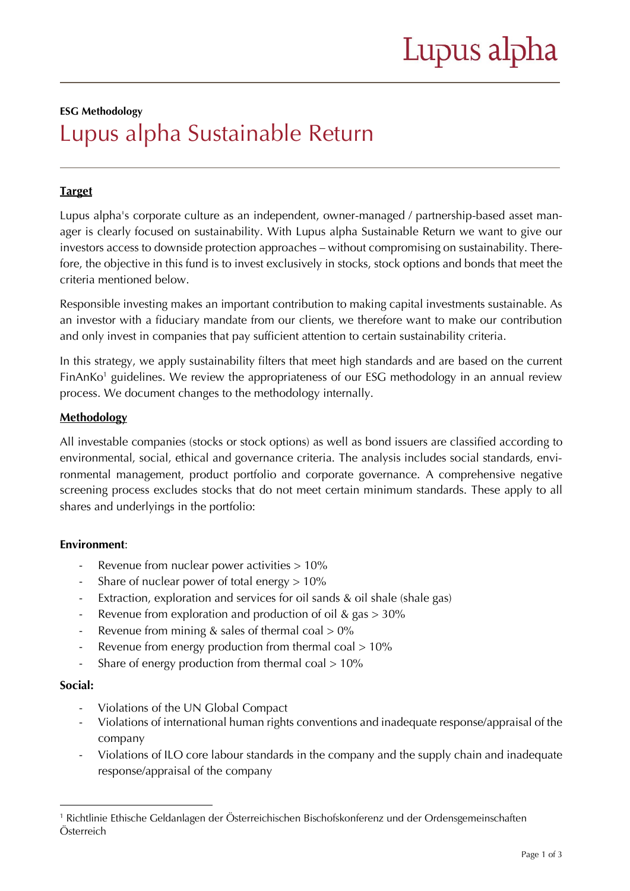#### **ESG Methodology**

# Lupus alpha Sustainable Return

# **Target**

Lupus alpha's corporate culture as an independent, owner-managed / partnership-based asset manager is clearly focused on sustainability. With Lupus alpha Sustainable Return we want to give our investors access to downside protection approaches – without compromising on sustainability. Therefore, the objective in this fund is to invest exclusively in stocks, stock options and bonds that meet the criteria mentioned below.

Responsible investing makes an important contribution to making capital investments sustainable. As an investor with a fiduciary mandate from our clients, we therefore want to make our contribution and only invest in companies that pay sufficient attention to certain sustainability criteria.

In this strategy, we apply sustainability filters that meet high standards and are based on the current FinAnKo<sup>1</sup> guidelines. We review the appropriateness of our ESG methodology in an annual review process. We document changes to the methodology internally.

# **Methodology**

All investable companies (stocks or stock options) as well as bond issuers are classified according to environmental, social, ethical and governance criteria. The analysis includes social standards, environmental management, product portfolio and corporate governance. A comprehensive negative screening process excludes stocks that do not meet certain minimum standards. These apply to all shares and underlyings in the portfolio:

# **Environment**:

- Revenue from nuclear power activities > 10%
- Share of nuclear power of total energy  $> 10\%$
- Extraction, exploration and services for oil sands & oil shale (shale gas)
- Revenue from exploration and production of oil & gas  $> 30\%$
- Revenue from mining  $&$  sales of thermal coal  $> 0\%$
- Revenue from energy production from thermal coal > 10%
- Share of energy production from thermal coal  $> 10\%$

# **Social:**

- Violations of the UN Global Compact
- Violations of international human rights conventions and inadequate response/appraisal of the company
- Violations of ILO core labour standards in the company and the supply chain and inadequate response/appraisal of the company

<sup>1</sup> Richtlinie Ethische Geldanlagen der Österreichischen Bischofskonferenz und der Ordensgemeinschaften Österreich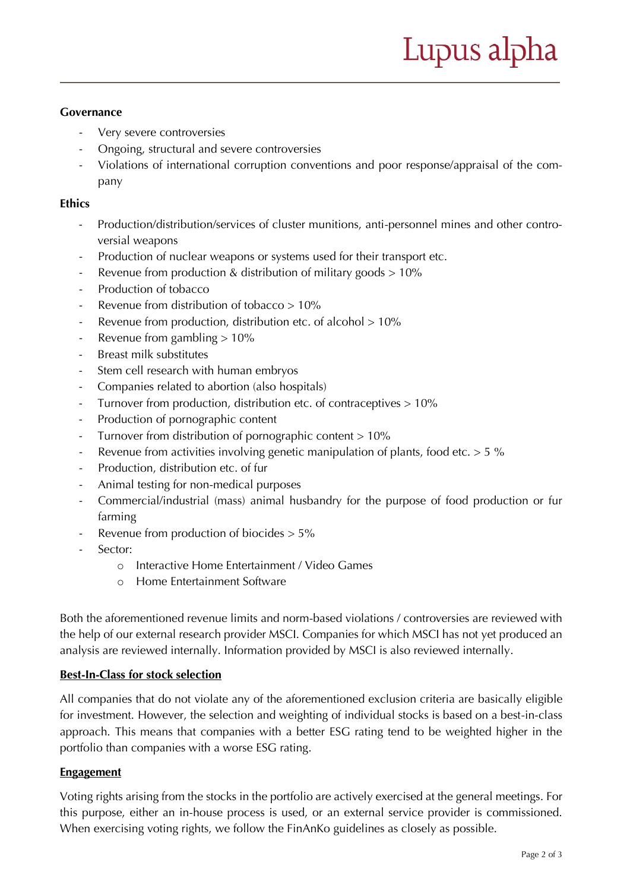# **Governance**

- Very severe controversies
- Ongoing, structural and severe controversies
- Violations of international corruption conventions and poor response/appraisal of the company

#### **Ethics**

- Production/distribution/services of cluster munitions, anti-personnel mines and other controversial weapons
- Production of nuclear weapons or systems used for their transport etc.
- Revenue from production & distribution of military goods  $> 10\%$
- Production of tobacco
- Revenue from distribution of tobacco  $> 10\%$
- Revenue from production, distribution etc. of alcohol > 10%
- Revenue from gambling  $> 10\%$
- Breast milk substitutes
- Stem cell research with human embryos
- Companies related to abortion (also hospitals)
- Turnover from production, distribution etc. of contraceptives > 10%
- Production of pornographic content
- Turnover from distribution of pornographic content > 10%
- Revenue from activities involving genetic manipulation of plants, food etc.  $> 5$  %
- Production, distribution etc. of fur
- Animal testing for non-medical purposes
- Commercial/industrial (mass) animal husbandry for the purpose of food production or fur farming
- Revenue from production of biocides  $> 5\%$
- Sector:
	- o Interactive Home Entertainment / Video Games
	- o Home Entertainment Software

Both the aforementioned revenue limits and norm-based violations / controversies are reviewed with the help of our external research provider MSCI. Companies for which MSCI has not yet produced an analysis are reviewed internally. Information provided by MSCI is also reviewed internally.

# **Best-In-Class for stock selection**

All companies that do not violate any of the aforementioned exclusion criteria are basically eligible for investment. However, the selection and weighting of individual stocks is based on a best-in-class approach. This means that companies with a better ESG rating tend to be weighted higher in the portfolio than companies with a worse ESG rating.

# **Engagement**

Voting rights arising from the stocks in the portfolio are actively exercised at the general meetings. For this purpose, either an in-house process is used, or an external service provider is commissioned. When exercising voting rights, we follow the FinAnKo guidelines as closely as possible.